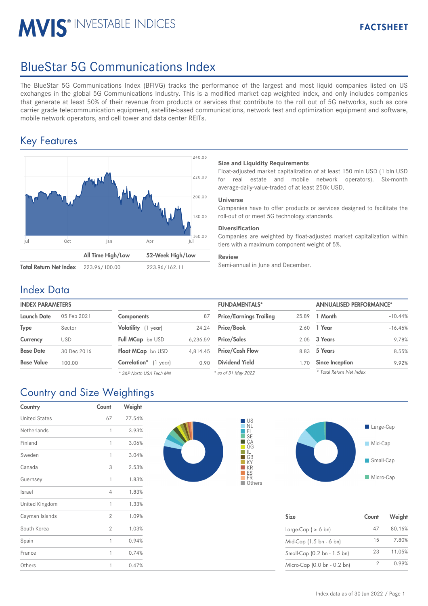# **MVIS® INVESTABLE INDICES**

# BlueStar 5G Communications Index

The BlueStar 5G Communications Index (BFIVG) tracks the performance of the largest and most liquid companies listed on US exchanges in the global 5G Communications Industry. This is a modified market cap-weighted index, and only includes companies that generate at least 50% of their revenue from products or services that contribute to the roll out of 5G networks, such as core carrier grade telecommunication equipment, satellite-based communications, network test and optimization equipment and software, mobile network operators, and cell tower and data center REITs.

## Key Features



### **Size and Liquidity Requirements**

Float-adjusted market capitalization of at least 150 mln USD (1 bln USD for real estate and mobile network operators). Six-month average-daily-value-traded of at least 250k USD.

#### **Universe**

Companies have to offer products or services designed to facilitate the roll-out of or meet 5G technology standards.

#### **Diversification**

Companies are weighted by float-adjusted market capitalization within tiers with a maximum component weight of 5%.

#### **Review**

### Index Data

| <b>INDEX PARAMETERS</b> |             |                            |          | <b>FUNDAMENTALS*</b>           |       | <b>ANNUALISED PERFORMANCE*</b> |  |
|-------------------------|-------------|----------------------------|----------|--------------------------------|-------|--------------------------------|--|
| Launch Date             | 05 Feb 2021 | <b>Components</b>          | 87       | <b>Price/Earnings Trailing</b> | 25.89 | 1 Month                        |  |
| <b>Type</b>             | Sector      | Volatility (1 year)        | 24.24    | <b>Price/Book</b>              | 2.60  | 1 Year                         |  |
| Currency                | <b>USD</b>  | Full MCap bn USD           | 6.236.59 | <b>Price/Sales</b>             |       | 2.05 3 Years                   |  |
| <b>Base Date</b>        | 30 Dec 2016 | Float MCap bn USD          | 4,814.45 | <b>Price/Cash Flow</b>         |       | 8.83 5 Years                   |  |
| <b>Base Value</b>       | 100.00      | Correlation*<br>$(1$ year) | 0.90     | <b>Dividend Yield</b>          | .70   | Since Inception                |  |

87  $24.24$ 6,236.59 4,814.45 0.90 *\* S&P North USA Tech MN*

| <b>FUNDAMENTALS*</b>           |       | <b>ANNUALISED PERFORMANCE*</b> |           |  |
|--------------------------------|-------|--------------------------------|-----------|--|
| <b>Price/Earnings Trailing</b> | 25.89 | 1 Month                        | $-10.44%$ |  |
| Price/Book                     | 2.60  | 1 Year                         | $-16.46%$ |  |
| <b>Price/Sales</b>             | 2.05  | 3 Years                        | 9.78%     |  |
| <b>Price/Cash Flow</b>         | 8.83  | 5 Years                        | 8.55%     |  |
| <b>Dividend Yield</b>          | 1.70  | <b>Since Inception</b>         | 9.92%     |  |
| $-0.6521$ $M_{\odot}$ , $2022$ |       | * Total Return Net Index       |           |  |

*\* as of 31 May 2022*

|    | 89 1 Month               | $-10.44%$ |
|----|--------------------------|-----------|
|    | 60 1 Year                | $-16.46%$ |
|    | 05 3 Years               | 9.78%     |
|    | 83 5 Years               | 8.55%     |
| 70 | <b>Since Inception</b>   | 9.92%     |
|    | * Total Return Net Index |           |

## Country and Size Weightings

| Country              | Count          | Weight |
|----------------------|----------------|--------|
| <b>United States</b> | 67             | 77.54% |
| Netherlands          | 1              | 3.93%  |
| Finland              | 1              | 3.06%  |
| Sweden               | 1              | 3.04%  |
| Canada               | 3              | 2.53%  |
| Guernsey             | 1              | 1.83%  |
| Israel               | 4              | 1.83%  |
| United Kingdom       | 1              | 1.33%  |
| Cayman Islands       | 2              | 1.09%  |
| South Korea          | $\overline{2}$ | 1.03%  |
| Spain                | 1              | 0.94%  |
| France               | 1              | 0.74%  |
| Others               | 1              | 0.47%  |





| <b>Size</b>                 | Count | Weight |
|-----------------------------|-------|--------|
| Large-Cap ( $> 6$ bn)       | 47    | 80.16% |
| Mid-Cap (1.5 bn - 6 bn)     | 15    | 7.80%  |
| Small-Cap (0.2 bn - 1.5 bn) | 23    | 11.05% |
| Micro-Cap (0.0 bn - 0.2 bn) |       | 0.99%  |